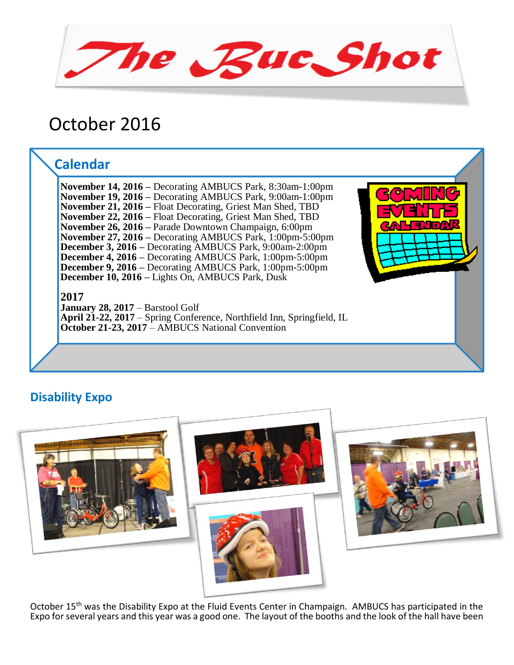The Buc Shot

# October 2016

## **Calendar**

**November 14, 2016 –** Decorating AMBUCS Park, 8:30am-1:00pm **November 19, 2016 –** Decorating AMBUCS Park, 9:00am-1:00pm **November 21, 2016 –** Float Decorating, Griest Man Shed, TBD **November 22, 2016 –** Float Decorating, Griest Man Shed, TBD **November 26, 2016 –** Parade Downtown Champaign, 6:00pm **November 27, 2016 –** Decorating AMBUCS Park, 1:00pm-5:00pm **December 3, 2016 –** Decorating AMBUCS Park, 9:00am-2:00pm **December 4, 2016 –** Decorating AMBUCS Park, 1:00pm-5:00pm **December 9, 2016 –** Decorating AMBUCS Park, 1:00pm-5:00pm **December 10, 2016 –** Lights On, AMBUCS Park, Dusk

**2017**

**January 28, 2017** – Barstool Golf **April 21-22, 2017** – Spring Conference, Northfield Inn, Springfield, IL **October 21-23, 2017** – AMBUCS National Convention



## **Disability Expo**



October 15<sup>th</sup> was the Disability Expo at the Fluid Events Center in Champaign. AMBUCS has participated in the Expo for several years and this year was a good one. The layout of the booths and the look of the hall have been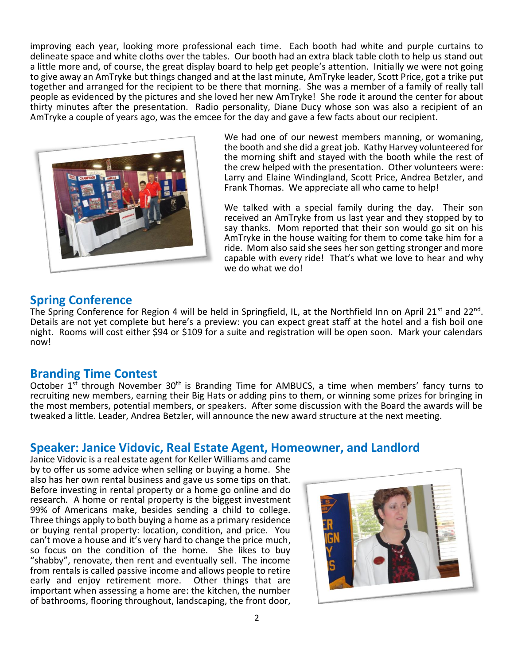improving each year, looking more professional each time. Each booth had white and purple curtains to delineate space and white cloths over the tables. Our booth had an extra black table cloth to help us stand out a little more and, of course, the great display board to help get people's attention. Initially we were not going to give away an AmTryke but things changed and at the last minute, AmTryke leader, Scott Price, got a trike put together and arranged for the recipient to be there that morning. She was a member of a family of really tall people as evidenced by the pictures and she loved her new AmTryke! She rode it around the center for about thirty minutes after the presentation. Radio personality, Diane Ducy whose son was also a recipient of an AmTryke a couple of years ago, was the emcee for the day and gave a few facts about our recipient.



We had one of our newest members manning, or womaning, the booth and she did a great job. Kathy Harvey volunteered for the morning shift and stayed with the booth while the rest of the crew helped with the presentation. Other volunteers were: Larry and Elaine Windingland, Scott Price, Andrea Betzler, and Frank Thomas. We appreciate all who came to help!

We talked with a special family during the day. Their son received an AmTryke from us last year and they stopped by to say thanks. Mom reported that their son would go sit on his AmTryke in the house waiting for them to come take him for a ride. Mom also said she sees her son getting stronger and more capable with every ride! That's what we love to hear and why we do what we do!

## **Spring Conference**

The Spring Conference for Region 4 will be held in Springfield, IL, at the Northfield Inn on April 21<sup>st</sup> and 22<sup>nd</sup>. Details are not yet complete but here's a preview: you can expect great staff at the hotel and a fish boil one night. Rooms will cost either \$94 or \$109 for a suite and registration will be open soon. Mark your calendars now!

## **Branding Time Contest**

October  $1^{st}$  through November  $30^{th}$  is Branding Time for AMBUCS, a time when members' fancy turns to recruiting new members, earning their Big Hats or adding pins to them, or winning some prizes for bringing in the most members, potential members, or speakers. After some discussion with the Board the awards will be tweaked a little. Leader, Andrea Betzler, will announce the new award structure at the next meeting.

## **Speaker: Janice Vidovic, Real Estate Agent, Homeowner, and Landlord**

Janice Vidovic is a real estate agent for Keller Williams and came by to offer us some advice when selling or buying a home. She also has her own rental business and gave us some tips on that. Before investing in rental property or a home go online and do research. A home or rental property is the biggest investment 99% of Americans make, besides sending a child to college. Three things apply to both buying a home as a primary residence or buying rental property: location, condition, and price. You can't move a house and it's very hard to change the price much, so focus on the condition of the home. She likes to buy "shabby", renovate, then rent and eventually sell. The income from rentals is called passive income and allows people to retire early and enjoy retirement more. Other things that are important when assessing a home are: the kitchen, the number of bathrooms, flooring throughout, landscaping, the front door,

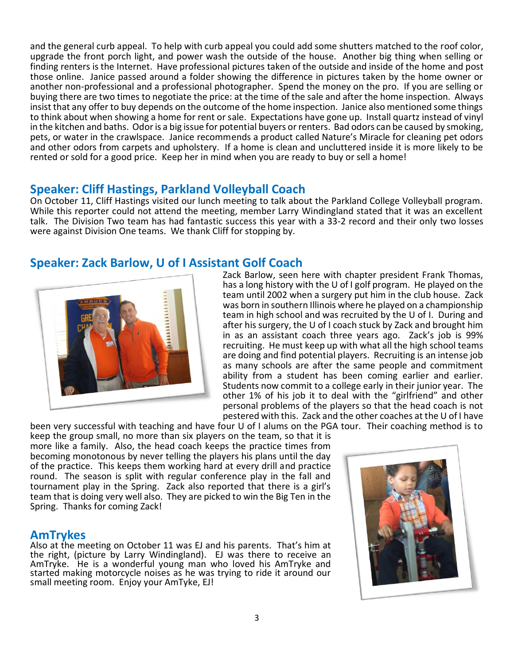and the general curb appeal. To help with curb appeal you could add some shutters matched to the roof color, upgrade the front porch light, and power wash the outside of the house. Another big thing when selling or finding renters is the Internet. Have professional pictures taken of the outside and inside of the home and post those online. Janice passed around a folder showing the difference in pictures taken by the home owner or another non-professional and a professional photographer. Spend the money on the pro. If you are selling or buying there are two times to negotiate the price: at the time of the sale and after the home inspection. Always insist that any offer to buy depends on the outcome of the home inspection. Janice also mentioned some things to think about when showing a home for rent or sale. Expectations have gone up. Install quartz instead of vinyl in the kitchen and baths. Odor is a big issue for potential buyers or renters. Bad odors can be caused by smoking, pets, or water in the crawlspace. Janice recommends a product called Nature's Miracle for cleaning pet odors and other odors from carpets and upholstery. If a home is clean and uncluttered inside it is more likely to be rented or sold for a good price. Keep her in mind when you are ready to buy or sell a home!

## **Speaker: Cliff Hastings, Parkland Volleyball Coach**

On October 11, Cliff Hastings visited our lunch meeting to talk about the Parkland College Volleyball program. While this reporter could not attend the meeting, member Larry Windingland stated that it was an excellent talk. The Division Two team has had fantastic success this year with a 33-2 record and their only two losses were against Division One teams. We thank Cliff for stopping by.

## **Speaker: Zack Barlow, U of I Assistant Golf Coach**



Zack Barlow, seen here with chapter president Frank Thomas, has a long history with the U of I golf program. He played on the team until 2002 when a surgery put him in the club house. Zack was born in southern Illinois where he played on a championship team in high school and was recruited by the U of I. During and after his surgery, the U of I coach stuck by Zack and brought him in as an assistant coach three years ago. Zack's job is 99% recruiting. He must keep up with what all the high school teams are doing and find potential players. Recruiting is an intense job as many schools are after the same people and commitment ability from a student has been coming earlier and earlier. Students now commit to a college early in their junior year. The other 1% of his job it to deal with the "girlfriend" and other personal problems of the players so that the head coach is not pestered with this. Zack and the other coaches at the U of I have

been very successful with teaching and have four U of I alums on the PGA tour. Their coaching method is to keep the group small, no more than six players on the team, so that it is more like a family. Also, the head coach keeps the practice times from becoming monotonous by never telling the players his plans until the day of the practice. This keeps them working hard at every drill and practice round. The season is split with regular conference play in the fall and tournament play in the Spring. Zack also reported that there is a girl's team that is doing very well also. They are picked to win the Big Ten in the Spring. Thanks for coming Zack!

#### **AmTrykes**

Also at the meeting on October 11 was EJ and his parents. That's him at the right, (picture by Larry Windingland). EJ was there to receive an AmTryke. He is a wonderful young man who loved his AmTryke and started making motorcycle noises as he was trying to ride it around our small meeting room. Enjoy your AmTyke, EJ!

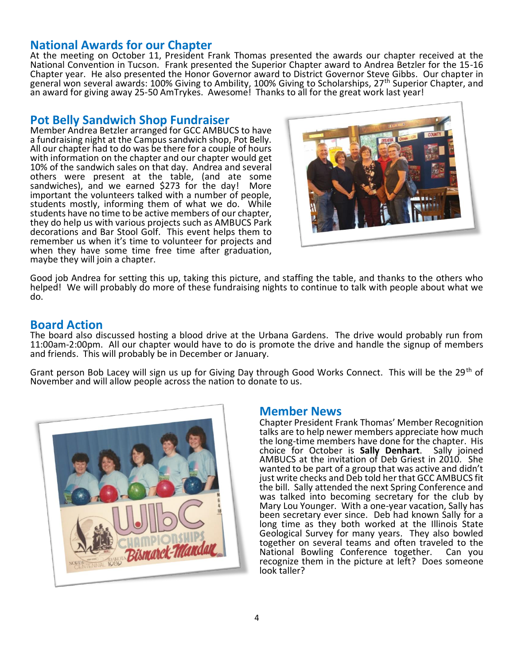## **National Awards for our Chapter**

At the meeting on October 11, President Frank Thomas presented the awards our chapter received at the National Convention in Tucson. Frank presented the Superior Chapter award to Andrea Betzler for the 15-16 Chapter year. He also presented the Honor Governor award to District Governor Steve Gibbs. Our chapter in general won several awards: 100% Giving to Ambility, 100% Giving to Scholarships, 27th Superior Chapter, and an award for giving away 25-50 AmTrykes. Awesome! Thanks to all for the great work last year!

## **Pot Belly Sandwich Shop Fundraiser**

Member Andrea Betzler arranged for GCC AMBUCS to have a fundraising night at the Campus sandwich shop, Pot Belly. All our chapter had to do was be there for a couple of hours with information on the chapter and our chapter would get 10% of the sandwich sales on that day. Andrea and several others were present at the table, (and ate some sandwiches), and we earned \$273 for the day! More important the volunteers talked with a number of people, students mostly, informing them of what we do. While students have no time to be active members of our chapter, they do help us with various projects such as AMBUCS Park decorations and Bar Stool Golf. This event helps them to remember us when it's time to volunteer for projects and when they have some time free time after graduation, maybe they will join a chapter.



Good job Andrea for setting this up, taking this picture, and staffing the table, and thanks to the others who helped! We will probably do more of these fundraising nights to continue to talk with people about what we do.

## **Board Action**

The board also discussed hosting a blood drive at the Urbana Gardens. The drive would probably run from 11:00am-2:00pm. All our chapter would have to do is promote the drive and handle the signup of members and friends. This will probably be in December or January.

Grant person Bob Lacey will sign us up for Giving Day through Good Works Connect. This will be the 29<sup>th</sup> of November and will allow people across the nation to donate to us.



#### **Member News**

Chapter President Frank Thomas' Member Recognition talks are to help newer members appreciate how much the long-time members have done for the chapter. His choice for October is **Sally Denhart**. Sally joined AMBUCS at the invitation of Deb Griest in 2010. She wanted to be part of a group that was active and didn't just write checks and Deb told her that GCC AMBUCS fit the bill. Sally attended the next Spring Conference and was talked into becoming secretary for the club by Mary Lou Younger. With a one-year vacation, Sally has been secretary ever since. Deb had known Sally for a long time as they both worked at the Illinois State Geological Survey for many years. They also bowled together on several teams and often traveled to the<br>National Bowling Conference together. Can you National Bowling Conference together. recognize them in the picture at left? Does someone look taller?